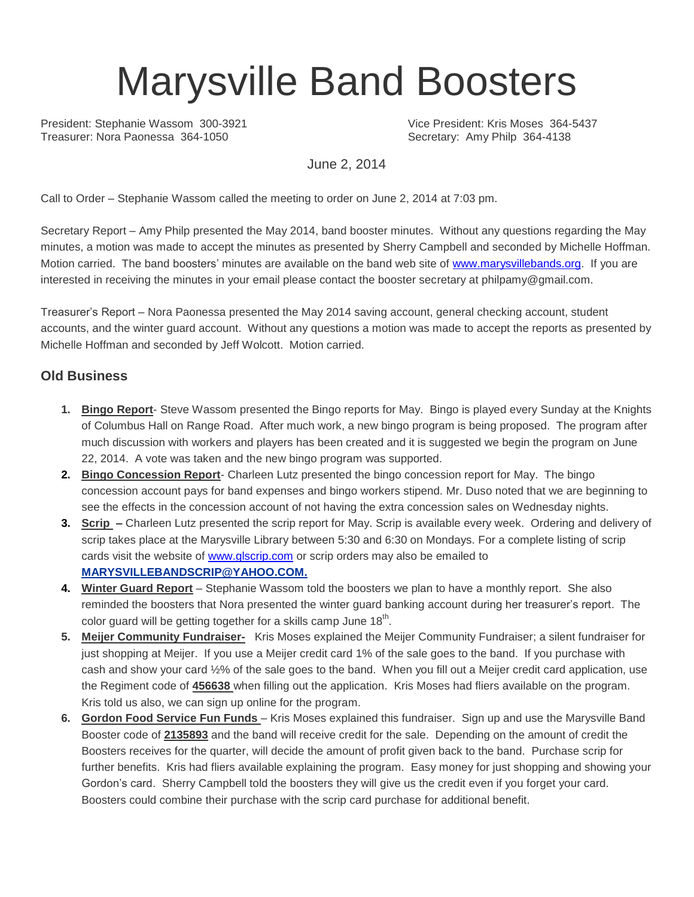# Marysville Band Boosters

President: Stephanie Wassom 300-3921 Vice President: Kris Moses 364-5437<br>
Treasurer: Nora Paonessa 364-1050 Vice President: Amy Philo 364-4138

Secretary: Amy Philp 364-4138

June 2, 2014

Call to Order – Stephanie Wassom called the meeting to order on June 2, 2014 at 7:03 pm.

Secretary Report – Amy Philp presented the May 2014, band booster minutes. Without any questions regarding the May minutes, a motion was made to accept the minutes as presented by Sherry Campbell and seconded by Michelle Hoffman. Motion carried. The band boosters' minutes are available on the band web site of [www.marysvillebands.org.](http://www.marysvillebands.org/) If you are interested in receiving the minutes in your email please contact the booster secretary at philpamy@gmail.com.

Treasurer's Report – Nora Paonessa presented the May 2014 saving account, general checking account, student accounts, and the winter guard account. Without any questions a motion was made to accept the reports as presented by Michelle Hoffman and seconded by Jeff Wolcott. Motion carried.

#### **Old Business**

- **1. Bingo Report** Steve Wassom presented the Bingo reports for May. Bingo is played every Sunday at the Knights of Columbus Hall on Range Road. After much work, a new bingo program is being proposed. The program after much discussion with workers and players has been created and it is suggested we begin the program on June 22, 2014. A vote was taken and the new bingo program was supported.
- **2. Bingo Concession Report** Charleen Lutz presented the bingo concession report for May. The bingo concession account pays for band expenses and bingo workers stipend. Mr. Duso noted that we are beginning to see the effects in the concession account of not having the extra concession sales on Wednesday nights.
- **3. Scrip –** Charleen Lutz presented the scrip report for May. Scrip is available every week. Ordering and delivery of scrip takes place at the Marysville Library between 5:30 and 6:30 on Mondays. For a complete listing of scrip cards visit the website of [www.glscrip.com](http://www.glscrip.com/) or scrip orders may also be emailed to **[MARYSVILLEBANDSCRIP@YAHOO.COM.](http://us.f838.mail.yahoo.com/ym/Compose?To=MARYSVILLEBANDSCRIP@YAHOO.COM%20/%20_blank)**
- **4. Winter Guard Report** Stephanie Wassom told the boosters we plan to have a monthly report. She also reminded the boosters that Nora presented the winter guard banking account during her treasurer's report. The color guard will be getting together for a skills camp June 18<sup>th</sup>.
- **5. Meijer Community Fundraiser-** Kris Moses explained the Meijer Community Fundraiser; a silent fundraiser for just shopping at Meijer. If you use a Meijer credit card 1% of the sale goes to the band. If you purchase with cash and show your card ½% of the sale goes to the band. When you fill out a Meijer credit card application, use the Regiment code of **456638** when filling out the application. Kris Moses had fliers available on the program. Kris told us also, we can sign up online for the program.
- **6. Gordon Food Service Fun Funds**  Kris Moses explained this fundraiser. Sign up and use the Marysville Band Booster code of **2135893** and the band will receive credit for the sale. Depending on the amount of credit the Boosters receives for the quarter, will decide the amount of profit given back to the band. Purchase scrip for further benefits. Kris had fliers available explaining the program. Easy money for just shopping and showing your Gordon's card. Sherry Campbell told the boosters they will give us the credit even if you forget your card. Boosters could combine their purchase with the scrip card purchase for additional benefit.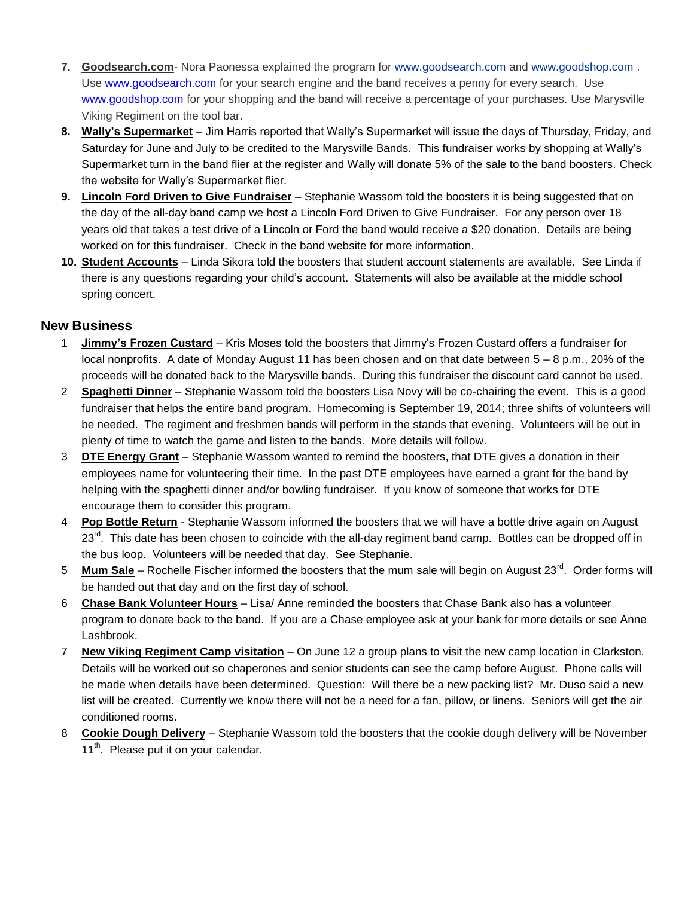- **7. Goodsearch.com** Nora Paonessa explained the program for [www.goodsearch.com](http://www.goodsearch.com/) and [www.goodshop.com](http://www.goodshop.com/) . Use [www.goodsearch.com](http://www.goodsearch.com/) for your search engine and the band receives a penny for every search. Use [www.goodshop.com](http://www.goodshop.com/) for your shopping and the band will receive a percentage of your purchases. Use Marysville Viking Regiment on the tool bar.
- **8. Wally's Supermarket** Jim Harris reported that Wally's Supermarket will issue the days of Thursday, Friday, and Saturday for June and July to be credited to the Marysville Bands. This fundraiser works by shopping at Wally's Supermarket turn in the band flier at the register and Wally will donate 5% of the sale to the band boosters. Check the website for Wally's Supermarket flier.
- **9. Lincoln Ford Driven to Give Fundraiser** Stephanie Wassom told the boosters it is being suggested that on the day of the all-day band camp we host a Lincoln Ford Driven to Give Fundraiser. For any person over 18 years old that takes a test drive of a Lincoln or Ford the band would receive a \$20 donation. Details are being worked on for this fundraiser. Check in the band website for more information.
- **10. Student Accounts** Linda Sikora told the boosters that student account statements are available. See Linda if there is any questions regarding your child's account. Statements will also be available at the middle school spring concert.

#### **New Business**

- 1 **Jimmy's Frozen Custard** Kris Moses told the boosters that Jimmy's Frozen Custard offers a fundraiser for local nonprofits. A date of Monday August 11 has been chosen and on that date between 5 – 8 p.m., 20% of the proceeds will be donated back to the Marysville bands. During this fundraiser the discount card cannot be used.
- 2 **Spaghetti Dinner** Stephanie Wassom told the boosters Lisa Novy will be co-chairing the event. This is a good fundraiser that helps the entire band program. Homecoming is September 19, 2014; three shifts of volunteers will be needed. The regiment and freshmen bands will perform in the stands that evening. Volunteers will be out in plenty of time to watch the game and listen to the bands. More details will follow.
- 3 **DTE Energy Grant** Stephanie Wassom wanted to remind the boosters, that DTE gives a donation in their employees name for volunteering their time. In the past DTE employees have earned a grant for the band by helping with the spaghetti dinner and/or bowling fundraiser. If you know of someone that works for DTE encourage them to consider this program.
- 4 **Pop Bottle Return** Stephanie Wassom informed the boosters that we will have a bottle drive again on August 23<sup>rd</sup>. This date has been chosen to coincide with the all-day regiment band camp. Bottles can be dropped off in the bus loop. Volunteers will be needed that day. See Stephanie.
- 5 **Mum Sale** Rochelle Fischer informed the boosters that the mum sale will begin on August 23<sup>rd</sup>. Order forms will be handed out that day and on the first day of school.
- 6 **Chase Bank Volunteer Hours** Lisa/ Anne reminded the boosters that Chase Bank also has a volunteer program to donate back to the band. If you are a Chase employee ask at your bank for more details or see Anne Lashbrook.
- 7 **New Viking Regiment Camp visitation** On June 12 a group plans to visit the new camp location in Clarkston. Details will be worked out so chaperones and senior students can see the camp before August. Phone calls will be made when details have been determined. Question: Will there be a new packing list? Mr. Duso said a new list will be created. Currently we know there will not be a need for a fan, pillow, or linens. Seniors will get the air conditioned rooms.
- 8 **Cookie Dough Delivery** Stephanie Wassom told the boosters that the cookie dough delivery will be November 11<sup>th</sup>. Please put it on your calendar.